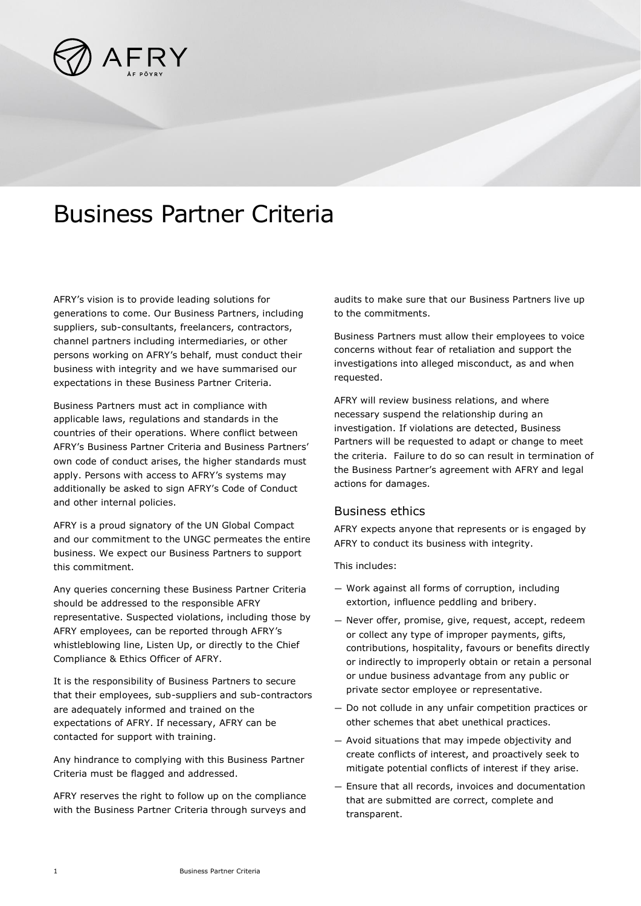

# Business Partner Criteria

AFRY's vision is to provide leading solutions for generations to come. Our Business Partners, including suppliers, sub-consultants, freelancers, contractors, channel partners including intermediaries, or other persons working on AFRY's behalf, must conduct their business with integrity and we have summarised our expectations in these Business Partner Criteria.

Business Partners must act in compliance with applicable laws, regulations and standards in the countries of their operations. Where conflict between AFRY's Business Partner Criteria and Business Partners' own code of conduct arises, the higher standards must apply. Persons with access to AFRY's systems may additionally be asked to sign AFRY's Code of Conduct and other internal policies.

AFRY is a proud signatory of the UN Global Compact and our commitment to the UNGC permeates the entire business. We expect our Business Partners to support this commitment.

Any queries concerning these Business Partner Criteria should be addressed to the responsible AFRY representative. Suspected violations, including those by AFRY employees, can be reported through AFRY's whistleblowing line, Listen Up, or directly to the Chief Compliance & Ethics Officer of AFRY.

It is the responsibility of Business Partners to secure that their employees, sub-suppliers and sub-contractors are adequately informed and trained on the expectations of AFRY. If necessary, AFRY can be contacted for support with training.

Any hindrance to complying with this Business Partner Criteria must be flagged and addressed.

AFRY reserves the right to follow up on the compliance with the Business Partner Criteria through surveys and audits to make sure that our Business Partners live up to the commitments.

Business Partners must allow their employees to voice concerns without fear of retaliation and support the investigations into alleged misconduct, as and when requested.

AFRY will review business relations, and where necessary suspend the relationship during an investigation. If violations are detected, Business Partners will be requested to adapt or change to meet the criteria. Failure to do so can result in termination of the Business Partner's agreement with AFRY and legal actions for damages.

#### Business ethics

AFRY expects anyone that represents or is engaged by AFRY to conduct its business with integrity.

This includes:

- Work against all forms of corruption, including extortion, influence peddling and bribery.
- Never offer, promise, give, request, accept, redeem or collect any type of improper payments, gifts, contributions, hospitality, favours or benefits directly or indirectly to improperly obtain or retain a personal or undue business advantage from any public or private sector employee or representative.
- Do not collude in any unfair competition practices or other schemes that abet unethical practices.
- Avoid situations that may impede objectivity and create conflicts of interest, and proactively seek to mitigate potential conflicts of interest if they arise.
- Ensure that all records, invoices and documentation that are submitted are correct, complete and transparent.